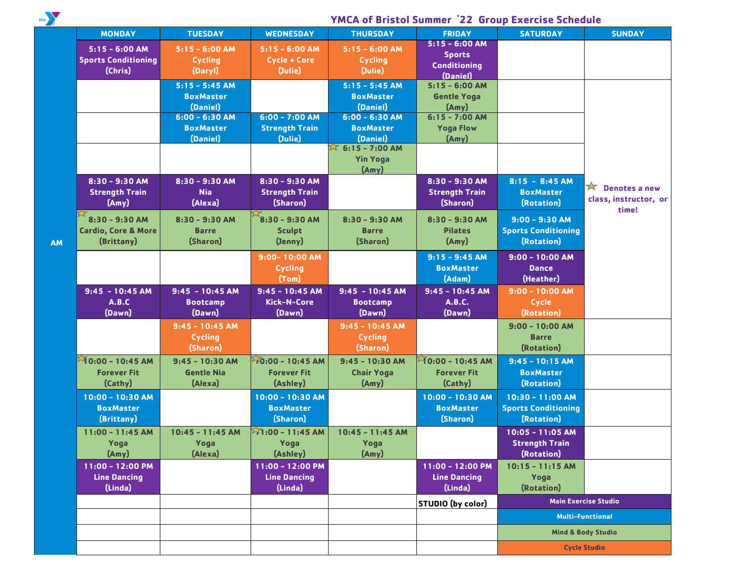the

 **AM**

## **YMCA of Bristol Summer '22 Group Exercise Schedule**

| <b>MONDAY</b>                  | <b>TUESDAY</b>     | <b>WEDNESDAY</b>         | <b>THURSDAY</b>              | <b>FRIDAY</b>            | <b>SATURDAY</b>                          | <b>SUNDAY</b>                 |
|--------------------------------|--------------------|--------------------------|------------------------------|--------------------------|------------------------------------------|-------------------------------|
| $5:15 - 6:00 AM$               | $5:15 - 6:00 AM$   | $5:15 - 6:00 AM$         | $5:15 - 6:00 AM$             | $5:15 - 6:00$ AM         |                                          |                               |
| <b>Sports Conditioning</b>     | <b>Cycling</b>     | Cycle + Core             | <b>Cycling</b>               | <b>Sports</b>            |                                          |                               |
| (Chris)                        | (Daryl)            | (Julie)                  | (Julie)                      | <b>Conditioning</b>      |                                          |                               |
|                                |                    |                          |                              | (Daniel)                 |                                          |                               |
|                                | $5:15 - 5:45$ AM   |                          | $5:15 - 5:45$ AM             | $5:15 - 6:00 AM$         |                                          |                               |
|                                | <b>BoxMaster</b>   |                          | <b>BoxMaster</b>             | <b>Gentle Yoga</b>       |                                          |                               |
|                                | (Daniel)           |                          | (Daniel)                     | (Amy)                    |                                          |                               |
|                                | $6:00 - 6:30$ AM   | $6:00 - 7:00$ AM         | $6:00 - 6:30$ AM             | $6:15 - 7:00 AM$         |                                          |                               |
|                                | <b>BoxMaster</b>   | <b>Strength Train</b>    | <b>BoxMaster</b>             | <b>Yoga Flow</b>         |                                          |                               |
|                                | (Daniel)           | (Julie)                  | (Daniel)                     | (Amy)                    |                                          |                               |
|                                |                    |                          | $\frac{1}{2}$ 6:15 - 7:00 AM |                          |                                          |                               |
|                                |                    |                          | <b>Yin Yoga</b>              |                          |                                          |                               |
|                                |                    |                          | (Amy)                        |                          |                                          |                               |
| 8:30 - 9:30 AM                 | 8:30 - 9:30 AM     | 8:30 - 9:30 AM           |                              | 8:30 - 9:30 AM           | $8:15 - 8:45 AM$                         | $\star$                       |
| <b>Strength Train</b>          | <b>Nia</b>         | <b>Strength Train</b>    |                              | <b>Strength Train</b>    | <b>BoxMaster</b>                         | <b>Denotes a new</b>          |
| (Any)                          | (Alexa)            | (Sharon)                 |                              | (Sharon)                 | (Rotation)                               | class, instructor, or         |
| 8:30 - 9:30 AM                 | $8:30 - 9:30$ AM   | $8:30 - 9:30$ AM         | $8:30 - 9:30$ AM             | $8:30 - 9:30$ AM         | $9:00 - 9:30 AM$                         | time!                         |
|                                | <b>Barre</b>       |                          |                              | <b>Pilates</b>           | <b>Sports Conditioning</b>               |                               |
| <b>Cardio, Core &amp; More</b> |                    | <b>Sculpt</b>            | <b>Barre</b>                 |                          |                                          |                               |
| (Brittany)                     | (Sharon)           | (Jenny)                  | (Sharon)                     | (Amy)                    | (Rotation)                               |                               |
|                                |                    | 9:00-10:00 AM            |                              | $9:15 - 9:45$ AM         | $9:00 - 10:00$ AM                        |                               |
|                                |                    | <b>Cycling</b>           |                              | <b>BoxMaster</b>         | <b>Dance</b>                             |                               |
|                                |                    | (Tom)                    |                              | (Adam)                   | (Heather)                                |                               |
|                                | $9:45 - 10:45$ AM  | $9:45 - 10:45$ AM        | $9:45 - 10:45$ AM            | $9:45 - 10:45$ AM        | $9:00 - 10:00$ AM                        |                               |
|                                |                    |                          |                              |                          |                                          |                               |
| $9:45 - 10:45$ AM              |                    |                          |                              |                          |                                          |                               |
| A.B.C                          | <b>Bootcamp</b>    | Kick-N-Core              | <b>Bootcamp</b>              | <b>A.B.C.</b>            | Cycle                                    |                               |
| (Dawn)                         | (Dawn)             | (Dawn)                   | (Dawn)                       | (Dawn)                   | (Rotation)                               |                               |
|                                | $9:45 - 10:45$ AM  |                          | $9:45 - 10:45$ AM            |                          | $9:00 - 10:00$ AM                        |                               |
|                                | <b>Cycling</b>     |                          | <b>Cycling</b>               |                          | <b>Barre</b>                             |                               |
|                                | (Sharon)           |                          | (Sharon)                     |                          | (Rotation)                               |                               |
| $10:00 - 10:45$ AM             | $9:45 - 10:30$ AM  | 10:00 - 10:45 AM         | $9:45 - 10:30$ AM            | $10:00 - 10:45$ AM       | $9:45 - 10:15$ AM                        |                               |
| <b>Forever Fit</b>             | <b>Gentle Nia</b>  | <b>Forever Fit</b>       | <b>Chair Yoga</b>            | <b>Forever Fit</b>       | <b>BoxMaster</b>                         |                               |
| (Cathy)                        | (Alexa)            | (Ashley)                 | (Amy)                        | (Cathy)                  | (Rotation)                               |                               |
| 10:00 - 10:30 AM               |                    | 10:00 - 10:30 AM         |                              | 10:00 - 10:30 AM         | $10:30 - 11:00$ AM                       |                               |
| <b>BoxMaster</b>               |                    | <b>BoxMaster</b>         |                              | <b>BoxMaster</b>         |                                          |                               |
| (Brittany)                     |                    | (Sharon)                 |                              | (Sharon)                 | <b>Sports Conditioning</b><br>(Rotation) |                               |
|                                |                    |                          |                              |                          |                                          |                               |
| 11:00 - 11:45 AM               | $10:45 - 11:45$ AM | $\sqrt{1:00}$ – 11:45 AM | $10:45 - 11:45$ AM           |                          | $10:05 - 11:05$ AM                       |                               |
| Yoga                           | Yoga               | Yoga                     | Yoga                         |                          | <b>Strength Train</b>                    |                               |
| (Amy)                          | (Alexa)            | (Ashley)                 | (Amy)                        |                          | (Rotation)                               |                               |
| 11:00 - 12:00 PM               |                    | 11:00 - 12:00 PM         |                              | 11:00 - 12:00 PM         | $10:15 - 11:15$ AM                       |                               |
| <b>Line Dancing</b>            |                    | <b>Line Dancing</b>      |                              | <b>Line Dancing</b>      | Yoga                                     |                               |
| (Linda)                        |                    | (Linda)                  |                              | (Linda)                  | (Rotation)                               |                               |
|                                |                    |                          |                              | <b>STUDIO</b> (by color) |                                          | <b>Main Exercise Studio</b>   |
|                                |                    |                          |                              |                          |                                          | <b>Multi-Functional</b>       |
|                                |                    |                          |                              |                          |                                          | <b>Mind &amp; Body Studio</b> |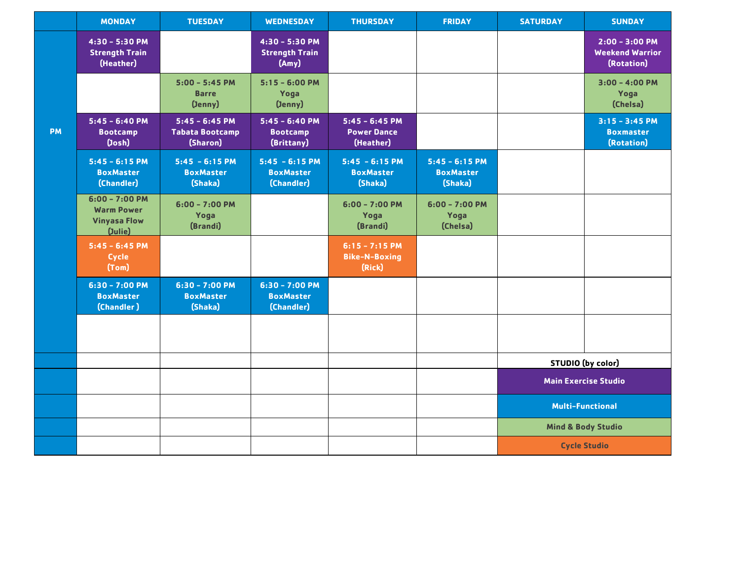|           | <b>MONDAY</b>                                                            | <b>TUESDAY</b>                                         | <b>WEDNESDAY</b>                                   | <b>THURSDAY</b>                                     | <b>FRIDAY</b>                                   | <b>SATURDAY</b>             | <b>SUNDAY</b>                                             |  |
|-----------|--------------------------------------------------------------------------|--------------------------------------------------------|----------------------------------------------------|-----------------------------------------------------|-------------------------------------------------|-----------------------------|-----------------------------------------------------------|--|
|           | 4:30 - 5:30 PM<br><b>Strength Train</b><br>(Heather)                     |                                                        | 4:30 - 5:30 PM<br><b>Strength Train</b><br>(Any)   |                                                     |                                                 |                             | $2:00 - 3:00 P M$<br><b>Weekend Warrior</b><br>(Rotation) |  |
|           |                                                                          | $5:00 - 5:45$ PM<br><b>Barre</b><br>(Jenny)            | $5:15 - 6:00$ PM<br>Yoga<br>(Jenny)                |                                                     |                                                 |                             | $3:00 - 4:00$ PM<br>Yoga<br>(Chelsa)                      |  |
| <b>PM</b> | $5:45 - 6:40$ PM<br><b>Bootcamp</b><br>(John)                            | $5:45 - 6:45$ PM<br><b>Tabata Bootcamp</b><br>(Sharon) | $5:45 - 6:40 PM$<br><b>Bootcamp</b><br>(Brittany)  | $5:45 - 6:45$ PM<br><b>Power Dance</b><br>(Heather) |                                                 |                             | $3:15 - 3:45$ PM<br><b>Boxmaster</b><br>(Rotation)        |  |
|           | $5:45 - 6:15$ PM<br><b>BoxMaster</b><br>(Chandler)                       | $5:45 - 6:15 PM$<br><b>BoxMaster</b><br>(Shaka)        | $5:45 - 6:15 PM$<br><b>BoxMaster</b><br>(Chandler) | $5:45 - 6:15 PM$<br><b>BoxMaster</b><br>(Shaka)     | $5:45 - 6:15$ PM<br><b>BoxMaster</b><br>(Shaka) |                             |                                                           |  |
|           | $6:00 - 7:00 P M$<br><b>Warm Power</b><br><b>Vinyasa Flow</b><br>(Julie) | $6:00 - 7:00$ PM<br>Yoga<br>(Brandi)                   |                                                    | $6:00 - 7:00$ PM<br>Yoga<br>(Brandi)                | $6:00 - 7:00$ PM<br>Yoga<br>(Chelsa)            |                             |                                                           |  |
|           | $5:45 - 6:45 PM$<br>Cycle<br>(Tom)                                       |                                                        |                                                    | $6:15 - 7:15$ PM<br><b>Bike-N-Boxing</b><br>(Rick)  |                                                 |                             |                                                           |  |
|           | $6:30 - 7:00$ PM<br><b>BoxMaster</b><br>(Chandler)                       | $6:30 - 7:00$ PM<br><b>BoxMaster</b><br>(Shaka)        | $6:30 - 7:00$ PM<br><b>BoxMaster</b><br>(Chandler) |                                                     |                                                 |                             |                                                           |  |
|           |                                                                          |                                                        |                                                    |                                                     |                                                 |                             |                                                           |  |
|           |                                                                          |                                                        |                                                    |                                                     |                                                 |                             | <b>STUDIO</b> (by color)                                  |  |
|           |                                                                          |                                                        |                                                    |                                                     |                                                 | <b>Main Exercise Studio</b> |                                                           |  |
|           |                                                                          |                                                        |                                                    |                                                     |                                                 |                             | <b>Multi-Functional</b>                                   |  |
|           |                                                                          |                                                        |                                                    |                                                     |                                                 |                             | <b>Mind &amp; Body Studio</b>                             |  |
|           |                                                                          |                                                        |                                                    |                                                     |                                                 | <b>Cycle Studio</b>         |                                                           |  |